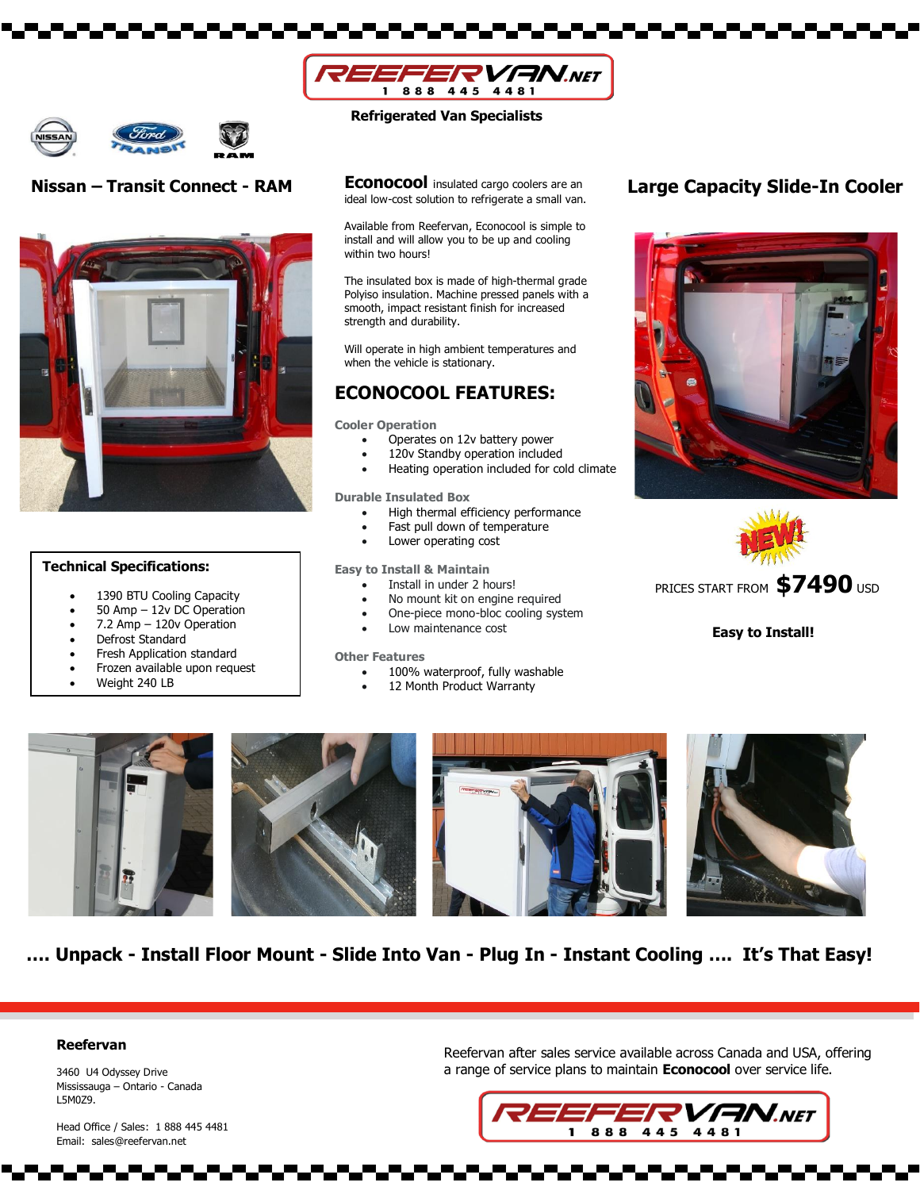



# **Nissan – Transit Connect - RAM**



### **Technical Specifications:**

- 1390 BTU Cooling Capacity
- 50 Amp 12v DC Operation
- 7.2 Amp 120v Operation
- Defrost Standard
- Fresh Application standard
- Frozen available upon request
- Weight 240 LB

## **Refrigerated Van Specialists**

**Econocool** insulated cargo coolers are an ideal low-cost solution to refrigerate a small van.

Available from Reefervan, Econocool is simple to install and will allow you to be up and cooling within two hours!

The insulated box is made of high-thermal grade Polyiso insulation. Machine pressed panels with a smooth, impact resistant finish for increased strength and durability.

Will operate in high ambient temperatures and when the vehicle is stationary.

# **ECONOCOOL FEATURES:**

**Cooler Operation**

- Operates on 12v battery power
- 120v Standby operation included
- Heating operation included for cold climate

**Durable Insulated Box**

- High thermal efficiency performance
	- Fast pull down of temperature
- Lower operating cost

**Easy to Install & Maintain**

- Install in under 2 hours!
- No mount kit on engine required
- One-piece mono-bloc cooling system
- Low maintenance cost

#### **Other Features**

- 100% waterproof, fully washable
- 12 Month Product Warranty

# **Large Capacity Slide-In Cooler**





PRICES START FROM **\$7490** USD

**Easy to Install!**



**…. Unpack - Install Floor Mount - Slide Into Van - Plug In - Instant Cooling …. It's That Easy!**

### **Reefervan**

3460 U4 Odyssey Drive Mississauga – Ontario - Canada L5M0Z9.

 Head Office / Sales: 1 888 445 4481 Email: [sales@reefervan.net](mailto:sales@reefervan.net)

## Reefervan after sales service available across Canada and USA, offering a range of service plans to maintain **Econocool** over service life.